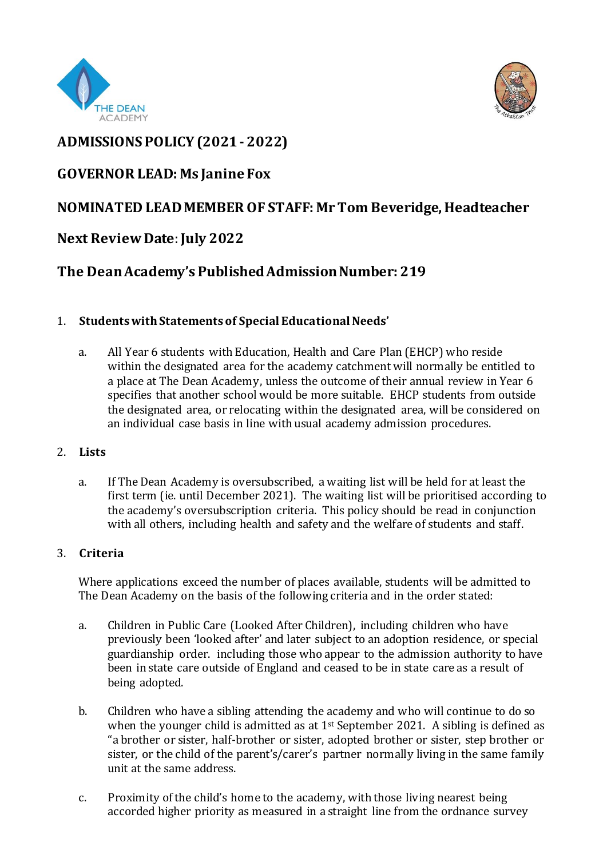



# **ADMISSIONS POLICY (2021 - 2022)**

## **GOVERNOR LEAD: Ms Janine Fox**

## **NOMINATED LEAD MEMBER OF STAFF: Mr Tom Beveridge, Headteacher**

### **Next Review Date**:**July 2022**

# **The Dean Academy's Published Admission Number: 219**

### 1. **Students with Statements of Special Educational Needs'**

a. All Year 6 students with Education, Health and Care Plan (EHCP) who reside within the designated area for the academy catchment will normally be entitled to a place at The Dean Academy, unless the outcome of their annual review in Year 6 specifies that another school would be more suitable. EHCP students from outside the designated area, or relocating within the designated area, will be considered on an individual case basis in line with usual academy admission procedures.

#### 2. **Lists**

a. If The Dean Academy is oversubscribed, a waiting list will be held for at least the first term (ie. until December 2021). The waiting list will be prioritised according to the academy's oversubscription criteria. This policy should be read in conjunction with all others, including health and safety and the welfare of students and staff.

#### 3. **Criteria**

Where applications exceed the number of places available, students will be admitted to The Dean Academy on the basis of the following criteria and in the order stated:

- a. Children in Public Care (Looked After Children), including children who have previously been 'looked after' and later subject to an adoption residence, or special guardianship order. including those who appear to the admission authority to have been in state care outside of England and ceased to be in state care as a result of being adopted.
- b. Children who have a sibling attending the academy and who will continue to do so when the younger child is admitted as at  $1<sup>st</sup>$  September 2021. A sibling is defined as "a brother or sister, half-brother or sister, adopted brother or sister, step brother or sister, or the child of the parent's/carer's partner normally living in the same family unit at the same address.
- c. Proximity of the child's home to the academy, with those living nearest being accorded higher priority as measured in a straight line from the ordnance survey